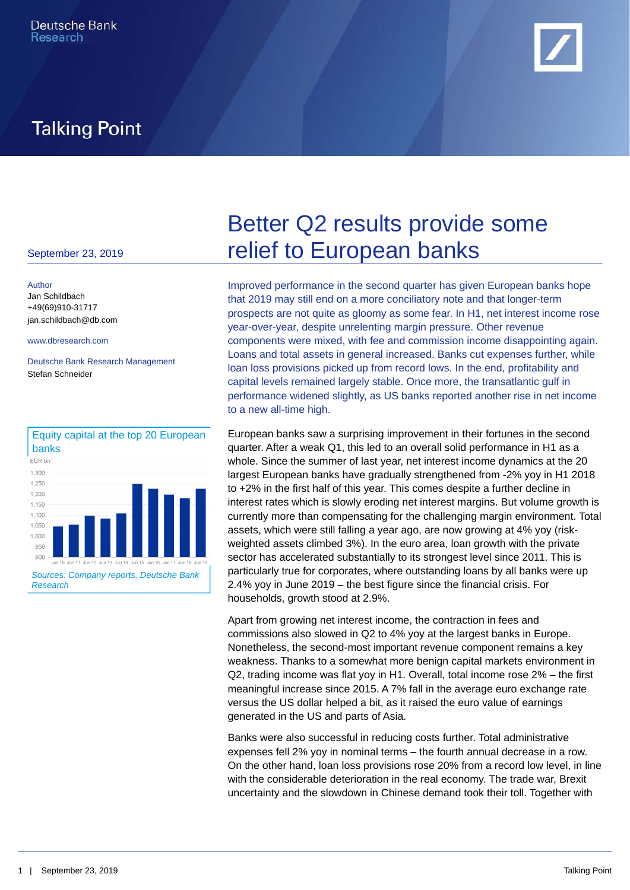

## **Talking Point**

Author [Jan Schildbach](mailto:jan.schildbach@db.com) +49(69)910-31717 [jan.schildbach@db.com](mailto:jan.schildbach@db.com)

Deutsche Bank Research Management Stefan Schneider



# September 23, 2019 **FRISHER COVENTS** September 23, 2019 Better Q2 results provide some

[www.dbresearch.com](http://www.dbresearch.com) components were mixed, with fee and commission income disappointing again. Improved performance in the second quarter has given European banks hope that 2019 may still end on a more conciliatory note and that longer-term prospects are not quite as gloomy as some fear. In H1, net interest income rose year-over-year, despite unrelenting margin pressure. Other revenue Loans and total assets in general increased. Banks cut expenses further, while loan loss provisions picked up from record lows. In the end, profitability and capital levels remained largely stable. Once more, the transatlantic gulf in performance widened slightly, as US banks reported another rise in net income to a new all-time high.

> European banks saw a surprising improvement in their fortunes in the second quarter. After a weak Q1, this led to an overall solid performance in H1 as a whole. Since the summer of last year, net interest income dynamics at the 20 largest European banks have gradually strengthened from -2% yoy in H1 2018 to +2% in the first half of this year. This comes despite a further decline in interest rates which is slowly eroding net interest margins. But volume growth is currently more than compensating for the challenging margin environment. Total assets, which were still falling a year ago, are now growing at 4% yoy (riskweighted assets climbed 3%). In the euro area, loan growth with the private sector has accelerated substantially to its strongest level since 2011. This is particularly true for corporates, where outstanding loans by all banks were up 2.4% yoy in June 2019 – the best figure since the financial crisis. For households, growth stood at 2.9%.

Apart from growing net interest income, the contraction in fees and commissions also slowed in Q2 to 4% yoy at the largest banks in Europe. Nonetheless, the second-most important revenue component remains a key weakness. Thanks to a somewhat more benign capital markets environment in Q2, trading income was flat yoy in H1. Overall, total income rose 2% – the first meaningful increase since 2015. A 7% fall in the average euro exchange rate versus the US dollar helped a bit, as it raised the euro value of earnings generated in the US and parts of Asia.

Banks were also successful in reducing costs further. Total administrative expenses fell 2% yoy in nominal terms – the fourth annual decrease in a row. On the other hand, loan loss provisions rose 20% from a record low level, in line with the considerable deterioration in the real economy. The trade war, Brexit uncertainty and the slowdown in Chinese demand took their toll. Together with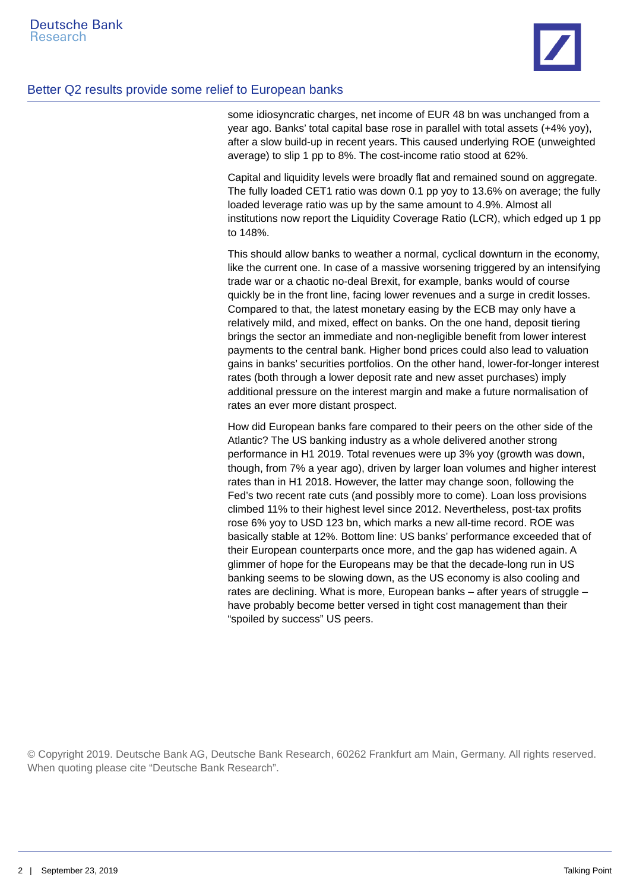

### Better Q2 results provide some relief to European banks

some idiosyncratic charges, net income of EUR 48 bn was unchanged from a year ago. Banks' total capital base rose in parallel with total assets (+4% yoy), after a slow build-up in recent years. This caused underlying ROE (unweighted average) to slip 1 pp to 8%. The cost-income ratio stood at 62%.

Capital and liquidity levels were broadly flat and remained sound on aggregate. The fully loaded CET1 ratio was down 0.1 pp yoy to 13.6% on average; the fully loaded leverage ratio was up by the same amount to 4.9%. Almost all institutions now report the Liquidity Coverage Ratio (LCR), which edged up 1 pp to 148%.

This should allow banks to weather a normal, cyclical downturn in the economy, like the current one. In case of a massive worsening triggered by an intensifying trade war or a chaotic no-deal Brexit, for example, banks would of course quickly be in the front line, facing lower revenues and a surge in credit losses. Compared to that, the latest monetary easing by the ECB may only have a relatively mild, and mixed, effect on banks. On the one hand, deposit tiering brings the sector an immediate and non-negligible benefit from lower interest payments to the central bank. Higher bond prices could also lead to valuation gains in banks' securities portfolios. On the other hand, lower-for-longer interest rates (both through a lower deposit rate and new asset purchases) imply additional pressure on the interest margin and make a future normalisation of rates an ever more distant prospect.

How did European banks fare compared to their peers on the other side of the Atlantic? The US banking industry as a whole delivered another strong performance in H1 2019. Total revenues were up 3% yoy (growth was down, though, from 7% a year ago), driven by larger loan volumes and higher interest rates than in H1 2018. However, the latter may change soon, following the Fed's two recent rate cuts (and possibly more to come). Loan loss provisions climbed 11% to their highest level since 2012. Nevertheless, post-tax profits rose 6% yoy to USD 123 bn, which marks a new all-time record. ROE was basically stable at 12%. Bottom line: US banks' performance exceeded that of their European counterparts once more, and the gap has widened again. A glimmer of hope for the Europeans may be that the decade-long run in US banking seems to be slowing down, as the US economy is also cooling and rates are declining. What is more, European banks – after years of struggle – have probably become better versed in tight cost management than their "spoiled by success" US peers.

© Copyright 2019. Deutsche Bank AG, Deutsche Bank Research, 60262 Frankfurt am Main, Germany. All rights reserved. When quoting please cite "Deutsche Bank Research".